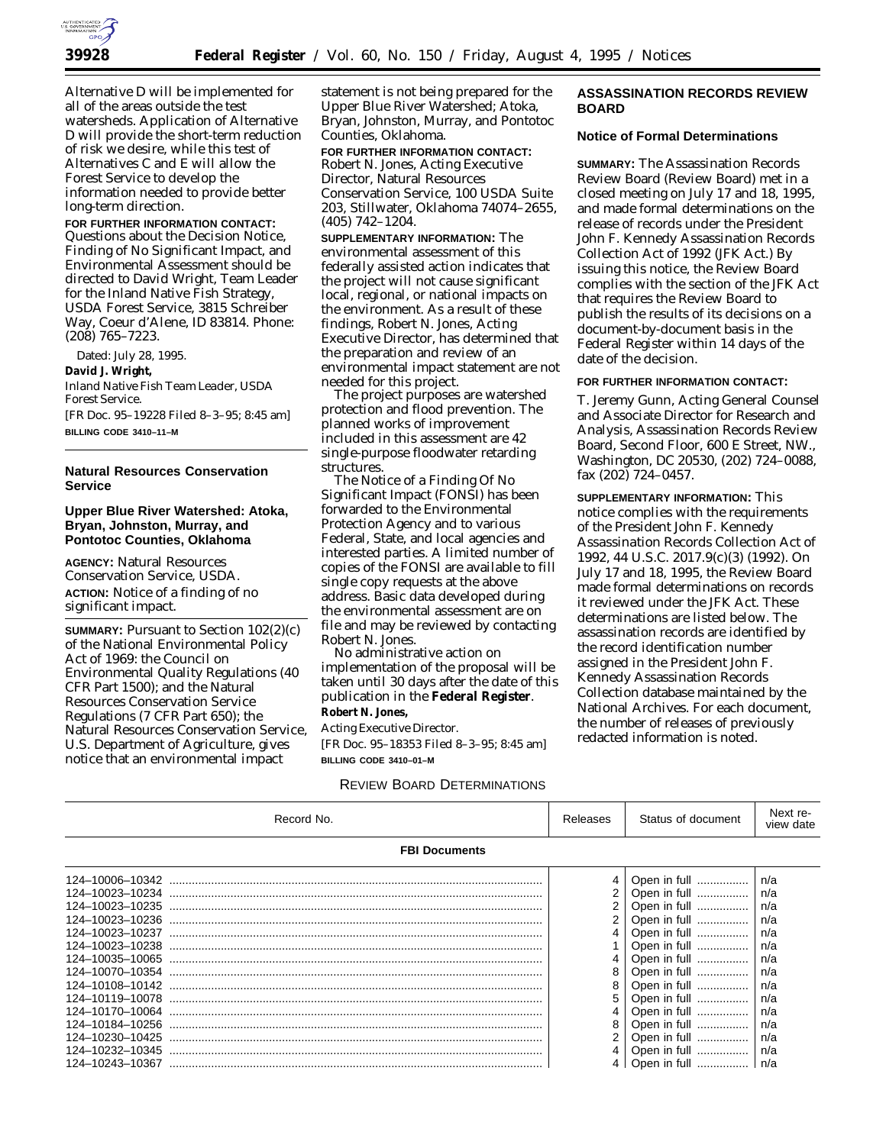

Alternative D will be implemented for all of the areas outside the test watersheds. Application of Alternative D will provide the short-term reduction of risk we desire, while this test of Alternatives C and E will allow the Forest Service to develop the information needed to provide better long-term direction.

**FOR FURTHER INFORMATION CONTACT:** Questions about the Decision Notice, Finding of No Significant Impact, and Environmental Assessment should be directed to David Wright, Team Leader for the Inland Native Fish Strategy, USDA Forest Service, 3815 Schreiber Way, Coeur d'Alene, ID 83814. Phone: *(208) 765–7223.*

Dated: July 28, 1995.

#### **David J. Wright,**

*Inland Native Fish Team Leader, USDA Forest Service.*

[FR Doc. 95–19228 Filed 8–3–95; 8:45 am] **BILLING CODE 3410–11–M**

## **Natural Resources Conservation Service**

## **Upper Blue River Watershed: Atoka, Bryan, Johnston, Murray, and Pontotoc Counties, Oklahoma**

**AGENCY:** Natural Resources Conservation Service, USDA. **ACTION:** Notice of a finding of no significant impact.

**SUMMARY: Pursuant to Section 102(2)(c)** of the National Environmental Policy Act of 1969: the Council on Environmental Quality Regulations (40 CFR Part 1500); and the Natural Resources Conservation Service Regulations (7 CFR Part 650); the Natural Resources Conservation Service, U.S. Department of Agriculture, gives notice that an environmental impact

statement is not being prepared for the Upper Blue River Watershed; Atoka, Bryan, Johnston, Murray, and Pontotoc Counties, Oklahoma.

**FOR FURTHER INFORMATION CONTACT:** Robert N. Jones, Acting Executive Director, Natural Resources Conservation Service, 100 USDA Suite 203, Stillwater, Oklahoma 74074–2655, (405) 742–1204.

**SUPPLEMENTARY INFORMATION:** The environmental assessment of this federally assisted action indicates that the project will not cause significant local, regional, or national impacts on the environment. As a result of these findings, Robert N. Jones, Acting Executive Director, has determined that the preparation and review of an environmental impact statement are not needed for this project.

The project purposes are watershed protection and flood prevention. The planned works of improvement included in this assessment are 42 single-purpose floodwater retarding structures.

The Notice of a Finding Of No Significant Impact (FONSI) has been forwarded to the Environmental Protection Agency and to various Federal, State, and local agencies and interested parties. A limited number of copies of the FONSI are available to fill single copy requests at the above address. Basic data developed during the environmental assessment are on file and may be reviewed by contacting Robert N. Jones.

No administrative action on implementation of the proposal will be taken until 30 days after the date of this publication in the **Federal Register**. **Robert N. Jones,**

## *Acting Executive Director.*

[FR Doc. 95–18353 Filed 8–3–95; 8:45 am] **BILLING CODE 3410–01–M**

## REVIEW BOARD DETERMINATIONS

## **ASSASSINATION RECORDS REVIEW BOARD**

## **Notice of Formal Determinations**

**SUMMARY:** The Assassination Records Review Board (Review Board) met in a closed meeting on July 17 and 18, 1995, and made formal determinations on the release of records under the President John F. Kennedy Assassination Records Collection Act of 1992 (JFK Act.) By issuing this notice, the Review Board complies with the section of the JFK Act that requires the Review Board to publish the results of its decisions on a document-by-document basis in the Federal Register within 14 days of the date of the decision.

## **FOR FURTHER INFORMATION CONTACT:**

T. Jeremy Gunn, Acting General Counsel and Associate Director for Research and Analysis, Assassination Records Review Board, Second Floor, 600 E Street, NW., Washington, DC 20530, (202) 724–0088, fax (202) 724–0457.

**SUPPLEMENTARY INFORMATION:** This notice complies with the requirements of the *President John F. Kennedy Assassination Records Collection Act of 1992*, 44 U.S.C. 2017.9(c)(3) (1992). On July 17 and 18, 1995, the Review Board made formal determinations on records it reviewed under the JFK Act. These determinations are listed below. The assassination records are identified by the record identification number assigned in the President John F. Kennedy Assassination Records Collection database maintained by the National Archives. For each document, the number of releases of previously redacted information is noted.

| Record No.                                                                                                                                                                                                    | Releases                   | Status of document                                                                                                                                                           | Next re-<br>view date                                                     |  |  |
|---------------------------------------------------------------------------------------------------------------------------------------------------------------------------------------------------------------|----------------------------|------------------------------------------------------------------------------------------------------------------------------------------------------------------------------|---------------------------------------------------------------------------|--|--|
| <b>FBI Documents</b>                                                                                                                                                                                          |                            |                                                                                                                                                                              |                                                                           |  |  |
| 124-10006-10342<br>124-10023-10234<br>124-10023-10235<br>124-10023-10236<br>124-10023-10237<br>124-10023-10238<br>124-10035-10065<br>124-10070-10354<br>124-10108-10142<br>124-10119-10078<br>124-10170-10064 | 4<br>2<br>2<br>4<br>8<br>8 | Open in full<br>Open in full<br>Open in full<br>Open in full<br>Open in full<br>Open in full<br>Open in full<br>Open in full<br>Open in full<br>Open in full<br>Open in full | n/a<br>n/a<br>n/a<br>n/a<br>n/a<br>n/a<br>n/a<br>n/a<br>n/a<br>n/a<br>n/a |  |  |
| 124-10184-10256<br>124-10230-10425<br>124-10232-10345<br>124-10243-10367                                                                                                                                      | 8<br>2<br>4                | Open in full<br>Open in full<br>Open in full<br>Open in full    n/a                                                                                                          | n/a<br>n/a<br>n/a                                                         |  |  |